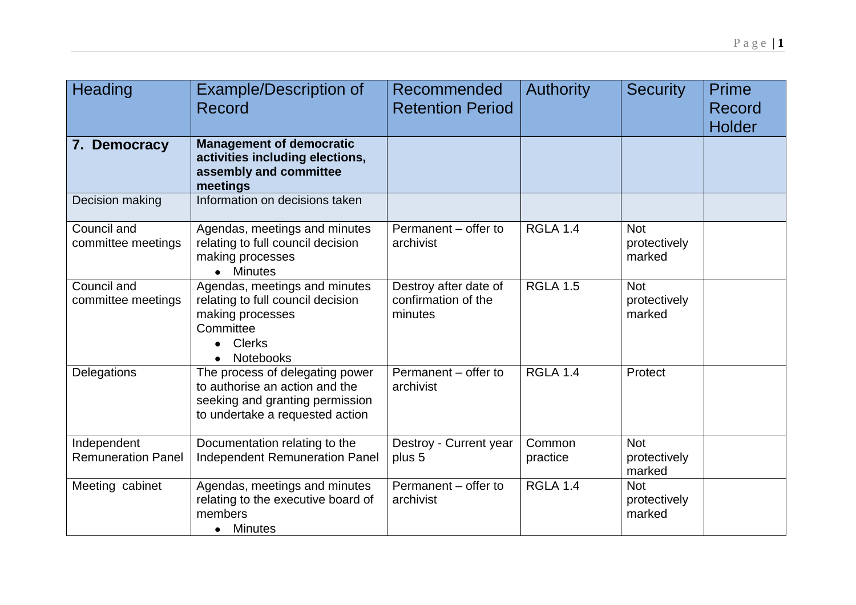| Heading                                  | <b>Example/Description of</b><br>Record                                                                                                 | Recommended<br><b>Retention Period</b>                  | <b>Authority</b>   | <b>Security</b>                      | Prime<br>Record<br><b>Holder</b> |
|------------------------------------------|-----------------------------------------------------------------------------------------------------------------------------------------|---------------------------------------------------------|--------------------|--------------------------------------|----------------------------------|
| 7. Democracy                             | <b>Management of democratic</b><br>activities including elections,<br>assembly and committee<br>meetings                                |                                                         |                    |                                      |                                  |
| Decision making                          | Information on decisions taken                                                                                                          |                                                         |                    |                                      |                                  |
| Council and<br>committee meetings        | Agendas, meetings and minutes<br>relating to full council decision<br>making processes<br><b>Minutes</b>                                | Permanent – offer to<br>archivist                       | <b>RGLA 1.4</b>    | <b>Not</b><br>protectively<br>marked |                                  |
| Council and<br>committee meetings        | Agendas, meetings and minutes<br>relating to full council decision<br>making processes<br>Committee<br>• Clerks<br><b>Notebooks</b>     | Destroy after date of<br>confirmation of the<br>minutes | <b>RGLA 1.5</b>    | <b>Not</b><br>protectively<br>marked |                                  |
| Delegations                              | The process of delegating power<br>to authorise an action and the<br>seeking and granting permission<br>to undertake a requested action | Permanent - offer to<br>archivist                       | <b>RGLA 1.4</b>    | Protect                              |                                  |
| Independent<br><b>Remuneration Panel</b> | Documentation relating to the<br><b>Independent Remuneration Panel</b>                                                                  | Destroy - Current year<br>plus 5                        | Common<br>practice | <b>Not</b><br>protectively<br>marked |                                  |
| Meeting cabinet                          | Agendas, meetings and minutes<br>relating to the executive board of<br>members<br><b>Minutes</b><br>$\bullet$                           | Permanent - offer to<br>archivist                       | <b>RGLA 1.4</b>    | <b>Not</b><br>protectively<br>marked |                                  |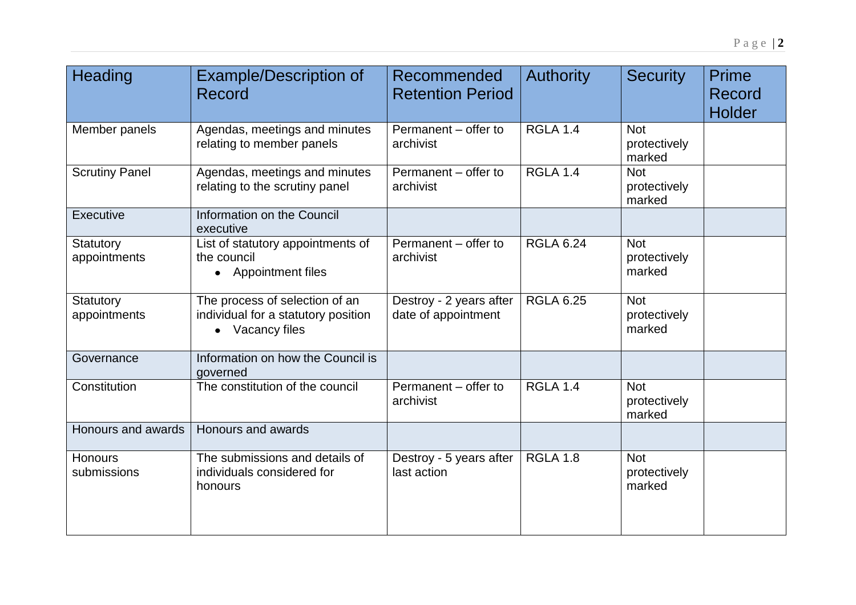| <b>Heading</b>                | <b>Example/Description of</b><br><b>Record</b>                                           | Recommended<br><b>Retention Period</b>         | <b>Authority</b> | <b>Security</b>                      | Prime<br><b>Record</b><br><b>Holder</b> |
|-------------------------------|------------------------------------------------------------------------------------------|------------------------------------------------|------------------|--------------------------------------|-----------------------------------------|
| Member panels                 | Agendas, meetings and minutes<br>relating to member panels                               | Permanent - offer to<br>archivist              | <b>RGLA 1.4</b>  | <b>Not</b><br>protectively<br>marked |                                         |
| <b>Scrutiny Panel</b>         | Agendas, meetings and minutes<br>relating to the scrutiny panel                          | Permanent – offer to<br>archivist              | <b>RGLA 1.4</b>  | <b>Not</b><br>protectively<br>marked |                                         |
| Executive                     | Information on the Council<br>executive                                                  |                                                |                  |                                      |                                         |
| Statutory<br>appointments     | List of statutory appointments of<br>the council<br>• Appointment files                  | Permanent - offer to<br>archivist              | <b>RGLA 6.24</b> | <b>Not</b><br>protectively<br>marked |                                         |
| Statutory<br>appointments     | The process of selection of an<br>individual for a statutory position<br>• Vacancy files | Destroy - 2 years after<br>date of appointment | <b>RGLA 6.25</b> | <b>Not</b><br>protectively<br>marked |                                         |
| Governance                    | Information on how the Council is<br>governed                                            |                                                |                  |                                      |                                         |
| Constitution                  | The constitution of the council                                                          | Permanent - offer to<br>archivist              | <b>RGLA 1.4</b>  | <b>Not</b><br>protectively<br>marked |                                         |
| Honours and awards            | Honours and awards                                                                       |                                                |                  |                                      |                                         |
| <b>Honours</b><br>submissions | The submissions and details of<br>individuals considered for<br>honours                  | Destroy - 5 years after<br>last action         | <b>RGLA 1.8</b>  | <b>Not</b><br>protectively<br>marked |                                         |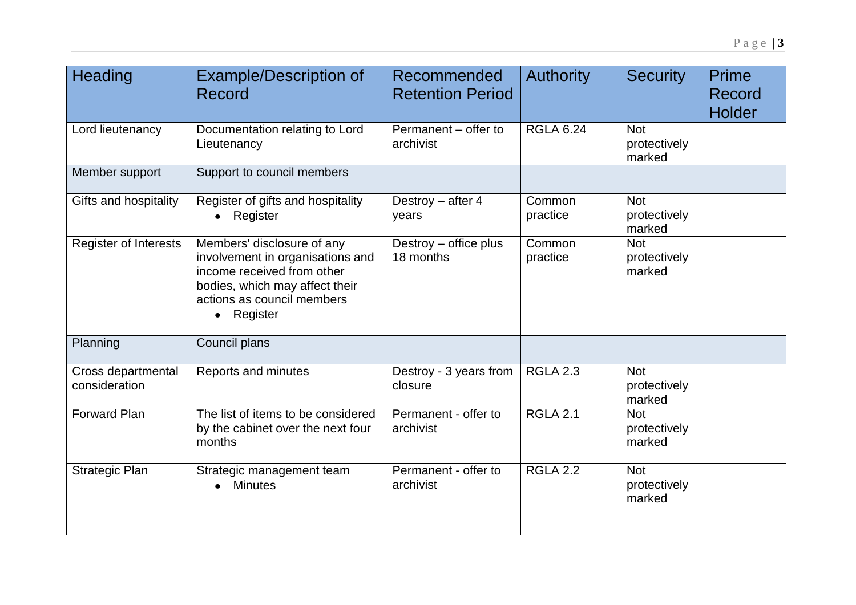| Heading                             | <b>Example/Description of</b><br>Record                                                                                                                                  | Recommended<br><b>Retention Period</b> | <b>Authority</b>   | <b>Security</b>                      | Prime<br>Record<br><b>Holder</b> |
|-------------------------------------|--------------------------------------------------------------------------------------------------------------------------------------------------------------------------|----------------------------------------|--------------------|--------------------------------------|----------------------------------|
| Lord lieutenancy                    | Documentation relating to Lord<br>Lieutenancy                                                                                                                            | Permanent - offer to<br>archivist      | <b>RGLA 6.24</b>   | <b>Not</b><br>protectively<br>marked |                                  |
| Member support                      | Support to council members                                                                                                                                               |                                        |                    |                                      |                                  |
| Gifts and hospitality               | Register of gifts and hospitality<br>Register                                                                                                                            | Destroy - after 4<br>years             | Common<br>practice | <b>Not</b><br>protectively<br>marked |                                  |
| <b>Register of Interests</b>        | Members' disclosure of any<br>involvement in organisations and<br>income received from other<br>bodies, which may affect their<br>actions as council members<br>Register | Destroy - office plus<br>18 months     | Common<br>practice | <b>Not</b><br>protectively<br>marked |                                  |
| Planning                            | Council plans                                                                                                                                                            |                                        |                    |                                      |                                  |
| Cross departmental<br>consideration | Reports and minutes                                                                                                                                                      | Destroy - 3 years from<br>closure      | <b>RGLA 2.3</b>    | <b>Not</b><br>protectively<br>marked |                                  |
| Forward Plan                        | The list of items to be considered<br>by the cabinet over the next four<br>months                                                                                        | Permanent - offer to<br>archivist      | <b>RGLA 2.1</b>    | <b>Not</b><br>protectively<br>marked |                                  |
| <b>Strategic Plan</b>               | Strategic management team<br><b>Minutes</b>                                                                                                                              | Permanent - offer to<br>archivist      | <b>RGLA 2.2</b>    | <b>Not</b><br>protectively<br>marked |                                  |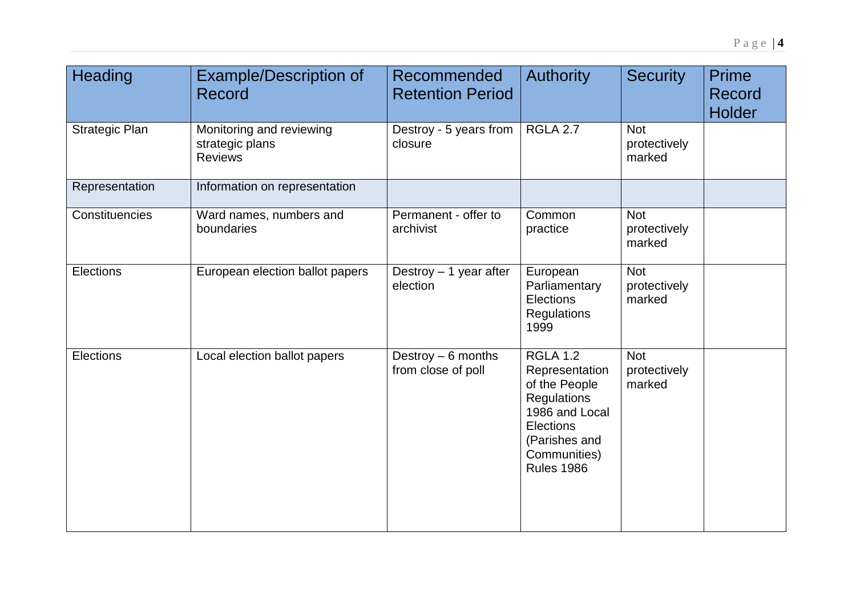| Heading               | <b>Example/Description of</b><br>Record                       | Recommended<br><b>Retention Period</b>   | <b>Authority</b>                                                                                                                                       | <b>Security</b>                      | <b>Prime</b><br><b>Record</b><br><b>Holder</b> |
|-----------------------|---------------------------------------------------------------|------------------------------------------|--------------------------------------------------------------------------------------------------------------------------------------------------------|--------------------------------------|------------------------------------------------|
| <b>Strategic Plan</b> | Monitoring and reviewing<br>strategic plans<br><b>Reviews</b> | Destroy - 5 years from<br>closure        | <b>RGLA 2.7</b>                                                                                                                                        | <b>Not</b><br>protectively<br>marked |                                                |
| Representation        | Information on representation                                 |                                          |                                                                                                                                                        |                                      |                                                |
| Constituencies        | Ward names, numbers and<br>boundaries                         | Permanent - offer to<br>archivist        | Common<br>practice                                                                                                                                     | <b>Not</b><br>protectively<br>marked |                                                |
| Elections             | European election ballot papers                               | Destroy $-1$ year after<br>election      | European<br>Parliamentary<br>Elections<br><b>Regulations</b><br>1999                                                                                   | <b>Not</b><br>protectively<br>marked |                                                |
| Elections             | Local election ballot papers                                  | Destroy - 6 months<br>from close of poll | <b>RGLA 1.2</b><br>Representation<br>of the People<br>Regulations<br>1986 and Local<br>Elections<br>(Parishes and<br>Communities)<br><b>Rules 1986</b> | <b>Not</b><br>protectively<br>marked |                                                |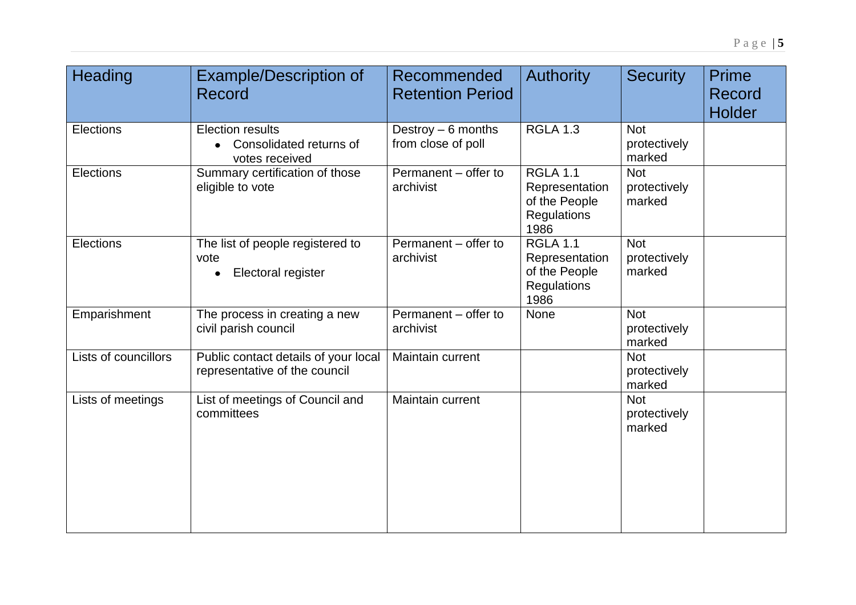| Heading              | <b>Example/Description of</b><br>Record                               | Recommended<br><b>Retention Period</b>    | <b>Authority</b>                                                          | <b>Security</b>                      | <b>Prime</b><br>Record<br><b>Holder</b> |
|----------------------|-----------------------------------------------------------------------|-------------------------------------------|---------------------------------------------------------------------------|--------------------------------------|-----------------------------------------|
| Elections            | <b>Election results</b><br>Consolidated returns of<br>votes received  | Destroy $-6$ months<br>from close of poll | <b>RGLA 1.3</b>                                                           | <b>Not</b><br>protectively<br>marked |                                         |
| Elections            | Summary certification of those<br>eligible to vote                    | Permanent - offer to<br>archivist         | <b>RGLA 1.1</b><br>Representation<br>of the People<br>Regulations<br>1986 | <b>Not</b><br>protectively<br>marked |                                         |
| Elections            | The list of people registered to<br>vote<br>Electoral register        | Permanent - offer to<br>archivist         | $RGLA$ 1.1<br>Representation<br>of the People<br>Regulations<br>1986      | <b>Not</b><br>protectively<br>marked |                                         |
| Emparishment         | The process in creating a new<br>civil parish council                 | Permanent - offer to<br>archivist         | None                                                                      | <b>Not</b><br>protectively<br>marked |                                         |
| Lists of councillors | Public contact details of your local<br>representative of the council | Maintain current                          |                                                                           | <b>Not</b><br>protectively<br>marked |                                         |
| Lists of meetings    | List of meetings of Council and<br>committees                         | Maintain current                          |                                                                           | <b>Not</b><br>protectively<br>marked |                                         |